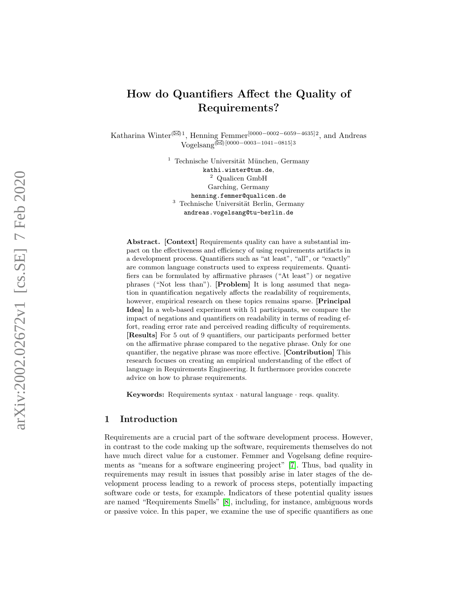# How do Quantifiers Affect the Quality of Requirements?

Katharina Winter<sup>(⊠)1</sup>, Henning Femmer<sup>[0000–0002–6059–4635]2</sup>, and Andreas  $V$ ogelsang $\mathbb{K}$ [0000–0003–1041–0815]3

> $1$  Technische Universität München, Germany kathi.winter@tum.de , <sup>2</sup> Qualicen GmbH Garching, Germany henning.femmer@qualicen.de  $^3$  Technische Universität Berlin, Germany andreas.vogelsang@tu-berlin.de

Abstract. [Context] Requirements quality can have a substantial impact on the effectiveness and efficiency of using requirements artifacts in a development process. Quantifiers such as "at least", "all", or "exactly" are common language constructs used to express requirements. Quantifiers can be formulated by affirmative phrases ("At least") or negative phrases ("Not less than"). [Problem] It is long assumed that negation in quantification negatively affects the readability of requirements, however, empirical research on these topics remains sparse. [Principal Idea] In a web-based experiment with 51 participants, we compare the impact of negations and quantifiers on readability in terms of reading effort, reading error rate and perceived reading difficulty of requirements. [Results] For 5 out of 9 quantifiers, our participants performed better on the affirmative phrase compared to the negative phrase. Only for one quantifier, the negative phrase was more effective. [Contribution] This research focuses on creating an empirical understanding of the effect of language in Requirements Engineering. It furthermore provides concrete advice on how to phrase requirements.

Keywords: Requirements syntax · natural language · reqs. quality.

# 1 Introduction

Requirements are a crucial part of the software development process. However, in contrast to the code making up the software, requirements themselves do not have much direct value for a customer. Femmer and Vogelsang define requirements as "means for a software engineering project" [\[7\]](#page-15-0). Thus, bad quality in requirements may result in issues that possibly arise in later stages of the development process leading to a rework of process steps, potentially impacting software code or tests, for example. Indicators of these potential quality issues are named "Requirements Smells" [\[8\]](#page-15-1), including, for instance, ambiguous words or passive voice. In this paper, we examine the use of specific quantifiers as one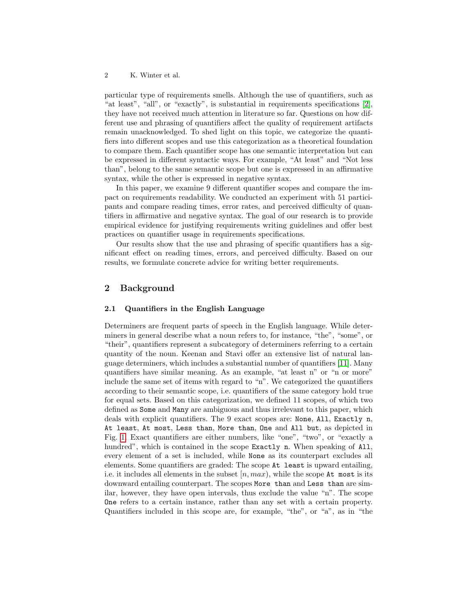particular type of requirements smells. Although the use of quantifiers, such as "at least", "all", or "exactly", is substantial in requirements specifications [\[2\]](#page-15-2), they have not received much attention in literature so far. Questions on how different use and phrasing of quantifiers affect the quality of requirement artifacts remain unacknowledged. To shed light on this topic, we categorize the quantifiers into different scopes and use this categorization as a theoretical foundation to compare them. Each quantifier scope has one semantic interpretation but can be expressed in different syntactic ways. For example, "At least" and "Not less than", belong to the same semantic scope but one is expressed in an affirmative syntax, while the other is expressed in negative syntax.

In this paper, we examine 9 different quantifier scopes and compare the impact on requirements readability. We conducted an experiment with 51 participants and compare reading times, error rates, and perceived difficulty of quantifiers in affirmative and negative syntax. The goal of our research is to provide empirical evidence for justifying requirements writing guidelines and offer best practices on quantifier usage in requirements specifications.

Our results show that the use and phrasing of specific quantifiers has a significant effect on reading times, errors, and perceived difficulty. Based on our results, we formulate concrete advice for writing better requirements.

# 2 Background

## <span id="page-1-0"></span>2.1 Quantifiers in the English Language

Determiners are frequent parts of speech in the English language. While determiners in general describe what a noun refers to, for instance, "the", "some", or "their", quantifiers represent a subcategory of determiners referring to a certain quantity of the noun. Keenan and Stavi offer an extensive list of natural language determiners, which includes a substantial number of quantifiers [\[11\]](#page-15-3). Many quantifiers have similar meaning. As an example, "at least n" or "n or more" include the same set of items with regard to "n". We categorized the quantifiers according to their semantic scope, i.e. quantifiers of the same category hold true for equal sets. Based on this categorization, we defined 11 scopes, of which two defined as Some and Many are ambiguous and thus irrelevant to this paper, which deals with explicit quantifiers. The 9 exact scopes are: None, All, Exactly n, At least, At most, Less than, More than, One and All but, as depicted in Fig. [1.](#page-2-0) Exact quantifiers are either numbers, like "one", "two", or "exactly a hundred", which is contained in the scope Exactly n. When speaking of All, every element of a set is included, while None as its counterpart excludes all elements. Some quantifiers are graded: The scope At least is upward entailing, i.e. it includes all elements in the subset  $[n, max)$ , while the scope At most is its downward entailing counterpart. The scopes More than and Less than are similar, however, they have open intervals, thus exclude the value "n". The scope One refers to a certain instance, rather than any set with a certain property. Quantifiers included in this scope are, for example, "the", or "a", as in "the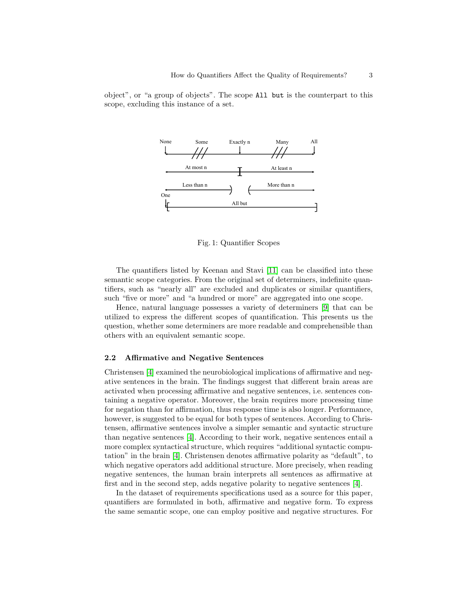<span id="page-2-0"></span>object", or "a group of objects". The scope All but is the counterpart to this scope, excluding this instance of a set.



Fig. 1: Quantifier Scopes

The quantifiers listed by Keenan and Stavi [\[11\]](#page-15-3) can be classified into these semantic scope categories. From the original set of determiners, indefinite quantifiers, such as "nearly all" are excluded and duplicates or similar quantifiers, such "five or more" and "a hundred or more" are aggregated into one scope.

Hence, natural language possesses a variety of determiners [\[9\]](#page-15-4) that can be utilized to express the different scopes of quantification. This presents us the question, whether some determiners are more readable and comprehensible than others with an equivalent semantic scope.

#### 2.2 Affirmative and Negative Sentences

Christensen [\[4\]](#page-15-5) examined the neurobiological implications of affirmative and negative sentences in the brain. The findings suggest that different brain areas are activated when processing affirmative and negative sentences, i.e. sentences containing a negative operator. Moreover, the brain requires more processing time for negation than for affirmation, thus response time is also longer. Performance, however, is suggested to be equal for both types of sentences. According to Christensen, affirmative sentences involve a simpler semantic and syntactic structure than negative sentences [\[4\]](#page-15-5). According to their work, negative sentences entail a more complex syntactical structure, which requires "additional syntactic computation" in the brain [\[4\]](#page-15-5). Christensen denotes affirmative polarity as "default", to which negative operators add additional structure. More precisely, when reading negative sentences, the human brain interprets all sentences as affirmative at first and in the second step, adds negative polarity to negative sentences [\[4\]](#page-15-5).

In the dataset of requirements specifications used as a source for this paper, quantifiers are formulated in both, affirmative and negative form. To express the same semantic scope, one can employ positive and negative structures. For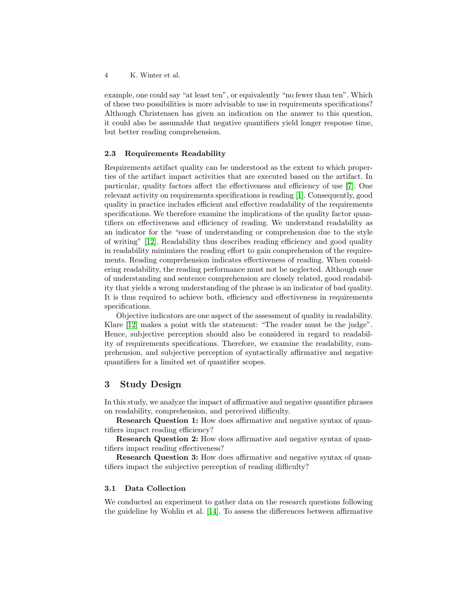example, one could say "at least ten", or equivalently "no fewer than ten". Which of these two possibilities is more advisable to use in requirements specifications? Although Christensen has given an indication on the answer to this question, it could also be assumable that negative quantifiers yield longer response time, but better reading comprehension.

## 2.3 Requirements Readability

Requirements artifact quality can be understood as the extent to which properties of the artifact impact activities that are executed based on the artifact. In particular, quality factors affect the effectiveness and efficiency of use [\[7\]](#page-15-0). One relevant activity on requirements specifications is reading [\[1\]](#page-15-6). Consequently, good quality in practice includes efficient and effective readability of the requirements specifications. We therefore examine the implications of the quality factor quantifiers on effectiveness and efficiency of reading. We understand readability as an indicator for the "ease of understanding or comprehension due to the style of writing" [\[12\]](#page-15-7). Readability thus describes reading efficiency and good quality in readability minimizes the reading effort to gain comprehension of the requirements. Reading comprehension indicates effectiveness of reading. When considering readability, the reading performance must not be neglected. Although ease of understanding and sentence comprehension are closely related, good readability that yields a wrong understanding of the phrase is an indicator of bad quality. It is thus required to achieve both, efficiency and effectiveness in requirements specifications.

Objective indicators are one aspect of the assessment of quality in readability. Klare [\[12\]](#page-15-7) makes a point with the statement: "The reader must be the judge". Hence, subjective perception should also be considered in regard to readability of requirements specifications. Therefore, we examine the readability, comprehension, and subjective perception of syntactically affirmative and negative quantifiers for a limited set of quantifier scopes.

# 3 Study Design

In this study, we analyze the impact of affirmative and negative quantifier phrases on readability, comprehension, and perceived difficulty.

Research Question 1: How does affirmative and negative syntax of quantifiers impact reading efficiency?

Research Question 2: How does affirmative and negative syntax of quantifiers impact reading effectiveness?

Research Question 3: How does affirmative and negative syntax of quantifiers impact the subjective perception of reading difficulty?

## <span id="page-3-0"></span>3.1 Data Collection

We conducted an experiment to gather data on the research questions following the guideline by Wohlin et al. [\[14\]](#page-15-8). To assess the differences between affirmative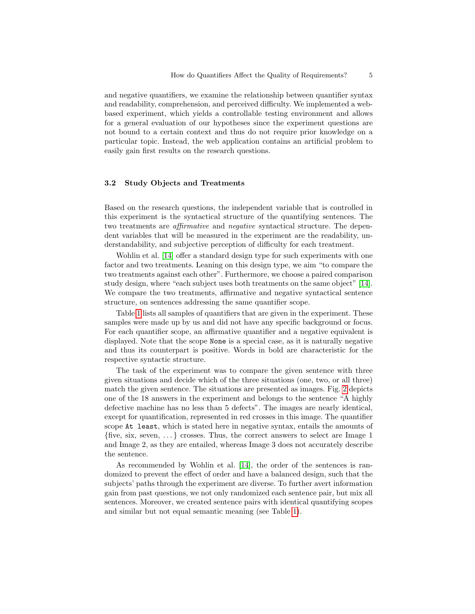and negative quantifiers, we examine the relationship between quantifier syntax and readability, comprehension, and perceived difficulty. We implemented a webbased experiment, which yields a controllable testing environment and allows for a general evaluation of our hypotheses since the experiment questions are not bound to a certain context and thus do not require prior knowledge on a particular topic. Instead, the web application contains an artificial problem to easily gain first results on the research questions.

### 3.2 Study Objects and Treatments

Based on the research questions, the independent variable that is controlled in this experiment is the syntactical structure of the quantifying sentences. The two treatments are affirmative and negative syntactical structure. The dependent variables that will be measured in the experiment are the readability, understandability, and subjective perception of difficulty for each treatment.

Wohlin et al. [\[14\]](#page-15-8) offer a standard design type for such experiments with one factor and two treatments. Leaning on this design type, we aim "to compare the two treatments against each other". Furthermore, we choose a paired comparison study design, where "each subject uses both treatments on the same object" [\[14\]](#page-15-8). We compare the two treatments, affirmative and negative syntactical sentence structure, on sentences addressing the same quantifier scope.

Table [1](#page-5-0) lists all samples of quantifiers that are given in the experiment. These samples were made up by us and did not have any specific background or focus. For each quantifier scope, an affirmative quantifier and a negative equivalent is displayed. Note that the scope None is a special case, as it is naturally negative and thus its counterpart is positive. Words in bold are characteristic for the respective syntactic structure.

The task of the experiment was to compare the given sentence with three given situations and decide which of the three situations (one, two, or all three) match the given sentence. The situations are presented as images. Fig. [2](#page-5-1) depicts one of the 18 answers in the experiment and belongs to the sentence "A highly defective machine has no less than 5 defects". The images are nearly identical, except for quantification, represented in red crosses in this image. The quantifier scope At least, which is stated here in negative syntax, entails the amounts of  ${\rm five, six, seven, ...}$  crosses. Thus, the correct answers to select are Image 1 and Image 2, as they are entailed, whereas Image 3 does not accurately describe the sentence.

As recommended by Wohlin et al. [\[14\]](#page-15-8), the order of the sentences is randomized to prevent the effect of order and have a balanced design, such that the subjects' paths through the experiment are diverse. To further avert information gain from past questions, we not only randomized each sentence pair, but mix all sentences. Moreover, we created sentence pairs with identical quantifying scopes and similar but not equal semantic meaning (see Table [1\)](#page-5-0).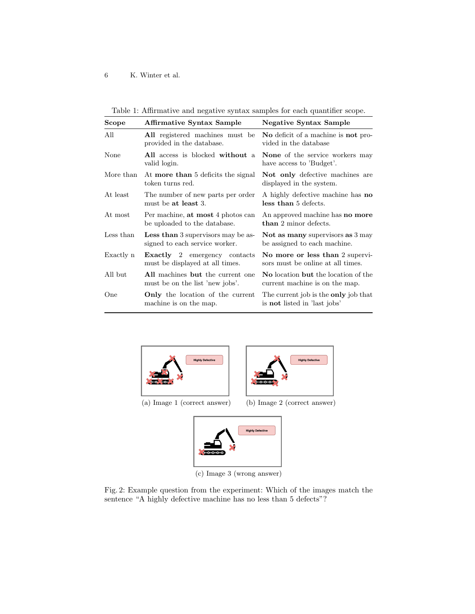<span id="page-5-0"></span>

| Table 1: Affirmative and negative syntax samples for each quantifier scope |  |  |  |  |
|----------------------------------------------------------------------------|--|--|--|--|
|                                                                            |  |  |  |  |

| Scope     | Affirmative Syntax Sample                                                   | Negative Syntax Sample                                                             |
|-----------|-----------------------------------------------------------------------------|------------------------------------------------------------------------------------|
| All       | All registered machines must be<br>provided in the database.                | No deficit of a machine is not pro-<br>vided in the database                       |
| None      | All access is blocked without a<br>valid login.                             | <b>None</b> of the service workers may<br>have access to 'Budget'.                 |
| More than | At more than 5 deficits the signal<br>token turns red.                      | Not only defective machines are<br>displayed in the system.                        |
| At least  | The number of new parts per order<br>must be at least 3.                    | A highly defective machine has <b>no</b><br>less than 5 defects.                   |
| At most   | Per machine, at most 4 photos can<br>be uploaded to the database.           | An approved machine has <b>no more</b><br>than 2 minor defects.                    |
| Less than | <b>Less than</b> 3 supervisors may be as-<br>signed to each service worker. | Not as many supervisors as 3 may<br>be assigned to each machine.                   |
| Exactly n | <b>Exactly</b> 2 emergency contacts<br>must be displayed at all times.      | No more or less than 2 supervi-<br>sors must be online at all times.               |
| All but   | All machines but the current one<br>must be on the list 'new jobs'.         | <b>No</b> location but the location of the<br>current machine is on the map.       |
| One       | <b>Only</b> the location of the current<br>machine is on the map.           | The current job is the <b>only</b> job that<br>is <b>not</b> listed in 'last jobs' |

<span id="page-5-1"></span>



(c) Image 3 (wrong answer)

Fig. 2: Example question from the experiment: Which of the images match the sentence "A highly defective machine has no less than 5 defects"?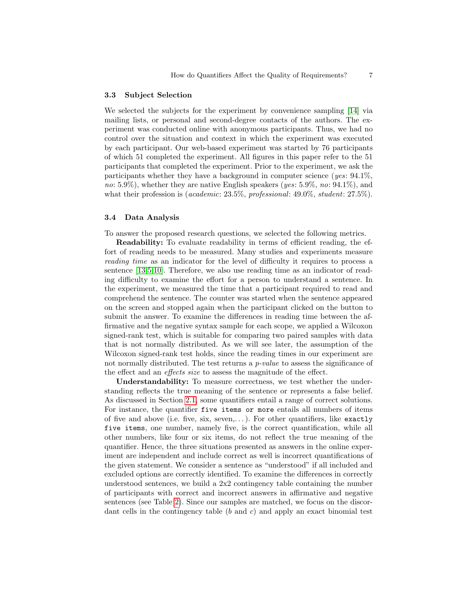#### 3.3 Subject Selection

We selected the subjects for the experiment by convenience sampling [\[14\]](#page-15-8) via mailing lists, or personal and second-degree contacts of the authors. The experiment was conducted online with anonymous participants. Thus, we had no control over the situation and context in which the experiment was executed by each participant. Our web-based experiment was started by 76 participants of which 51 completed the experiment. All figures in this paper refer to the 51 participants that completed the experiment. Prior to the experiment, we ask the participants whether they have a background in computer science ( $yes: 94.1\%$ , no:  $5.9\%$ ), whether they are native English speakers (yes:  $5.9\%$ , no:  $94.1\%$ ), and what their profession is (*academic:*  $23.5\%$ , *professional:*  $49.0\%$ , *student:*  $27.5\%$ ).

#### 3.4 Data Analysis

To answer the proposed research questions, we selected the following metrics.

Readability: To evaluate readability in terms of efficient reading, the effort of reading needs to be measured. Many studies and experiments measure reading time as an indicator for the level of difficulty it requires to process a sentence [\[13](#page-15-9)[,5](#page-15-10)[,10\]](#page-15-11). Therefore, we also use reading time as an indicator of reading difficulty to examine the effort for a person to understand a sentence. In the experiment, we measured the time that a participant required to read and comprehend the sentence. The counter was started when the sentence appeared on the screen and stopped again when the participant clicked on the button to submit the answer. To examine the differences in reading time between the affirmative and the negative syntax sample for each scope, we applied a Wilcoxon signed-rank test, which is suitable for comparing two paired samples with data that is not normally distributed. As we will see later, the assumption of the Wilcoxon signed-rank test holds, since the reading times in our experiment are not normally distributed. The test returns a p-value to assess the significance of the effect and an *effects size* to assess the magnitude of the effect.

Understandability: To measure correctness, we test whether the understanding reflects the true meaning of the sentence or represents a false belief. As discussed in Section [2.1,](#page-1-0) some quantifiers entail a range of correct solutions. For instance, the quantifier five items or more entails all numbers of items of five and above (i.e. five, six, seven,...). For other quantifiers, like exactly five items, one number, namely five, is the correct quantification, while all other numbers, like four or six items, do not reflect the true meaning of the quantifier. Hence, the three situations presented as answers in the online experiment are independent and include correct as well is incorrect quantifications of the given statement. We consider a sentence as "understood" if all included and excluded options are correctly identified. To examine the differences in correctly understood sentences, we build a 2x2 contingency table containing the number of participants with correct and incorrect answers in affirmative and negative sentences (see Table [2\)](#page-7-0). Since our samples are matched, we focus on the discordant cells in the contingency table  $(b \text{ and } c)$  and apply an exact binomial test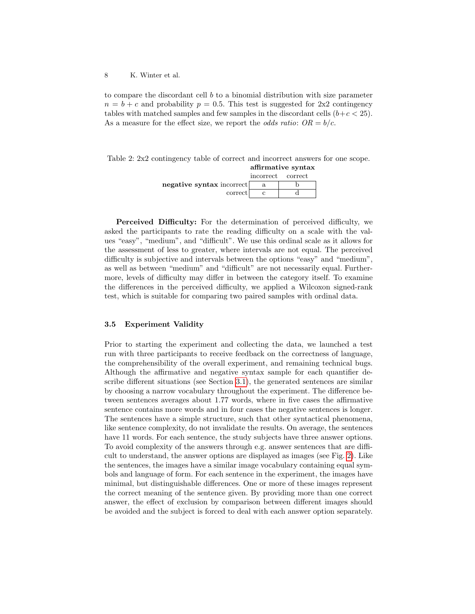to compare the discordant cell  $b$  to a binomial distribution with size parameter  $n = b + c$  and probability  $p = 0.5$ . This test is suggested for 2x2 contingency tables with matched samples and few samples in the discordant cells  $(b+c<25)$ . As a measure for the effect size, we report the *odds ratio*:  $OR = b/c$ .

<span id="page-7-0"></span>Table 2: 2x2 contingency table of correct and incorrect answers for one scope. affirmative syntax

|                           | incorrect correct |
|---------------------------|-------------------|
| negative syntax incorrect |                   |
| correct                   |                   |

Perceived Difficulty: For the determination of perceived difficulty, we asked the participants to rate the reading difficulty on a scale with the values "easy", "medium", and "difficult". We use this ordinal scale as it allows for the assessment of less to greater, where intervals are not equal. The perceived difficulty is subjective and intervals between the options "easy" and "medium", as well as between "medium" and "difficult" are not necessarily equal. Furthermore, levels of difficulty may differ in between the category itself. To examine the differences in the perceived difficulty, we applied a Wilcoxon signed-rank test, which is suitable for comparing two paired samples with ordinal data.

## 3.5 Experiment Validity

Prior to starting the experiment and collecting the data, we launched a test run with three participants to receive feedback on the correctness of language, the comprehensibility of the overall experiment, and remaining technical bugs. Although the affirmative and negative syntax sample for each quantifier describe different situations (see Section [3.1\)](#page-3-0), the generated sentences are similar by choosing a narrow vocabulary throughout the experiment. The difference between sentences averages about 1.77 words, where in five cases the affirmative sentence contains more words and in four cases the negative sentences is longer. The sentences have a simple structure, such that other syntactical phenomena, like sentence complexity, do not invalidate the results. On average, the sentences have 11 words. For each sentence, the study subjects have three answer options. To avoid complexity of the answers through e.g. answer sentences that are difficult to understand, the answer options are displayed as images (see Fig. [2\)](#page-5-1). Like the sentences, the images have a similar image vocabulary containing equal symbols and language of form. For each sentence in the experiment, the images have minimal, but distinguishable differences. One or more of these images represent the correct meaning of the sentence given. By providing more than one correct answer, the effect of exclusion by comparison between different images should be avoided and the subject is forced to deal with each answer option separately.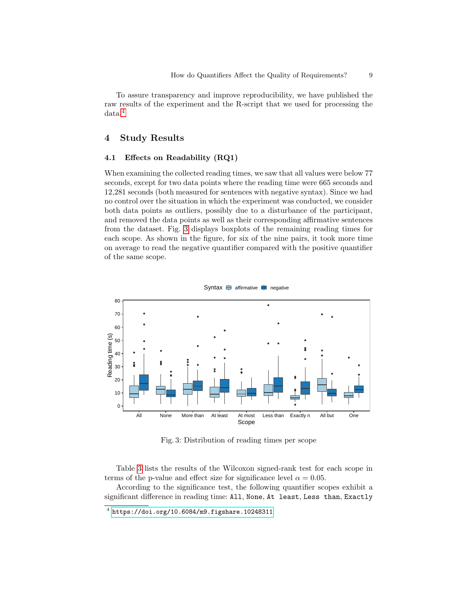To assure transparency and improve reproducibility, we have published the raw results of the experiment and the R-script that we used for processing the data.[4](#page-8-0)

# 4 Study Results

### 4.1 Effects on Readability (RQ1)

When examining the collected reading times, we saw that all values were below 77 seconds, except for two data points where the reading time were 665 seconds and 12,281 seconds (both measured for sentences with negative syntax). Since we had no control over the situation in which the experiment was conducted, we consider both data points as outliers, possibly due to a disturbance of the participant, and removed the data points as well as their corresponding affirmative sentences from the dataset. Fig. [3](#page-8-1) displays boxplots of the remaining reading times for each scope. As shown in the figure, for six of the nine pairs, it took more time on average to read the negative quantifier compared with the positive quantifier of the same scope.

<span id="page-8-1"></span>

Fig. 3: Distribution of reading times per scope

Table [3](#page-9-0) lists the results of the Wilcoxon signed-rank test for each scope in terms of the p-value and effect size for significance level  $\alpha = 0.05$ .

According to the significance test, the following quantifier scopes exhibit a significant difference in reading time: All, None, At least, Less than, Exactly

<span id="page-8-0"></span> $^4$  <https://doi.org/10.6084/m9.figshare.10248311>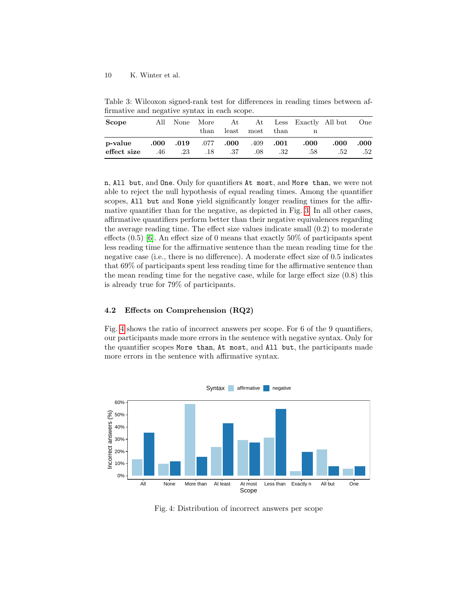<span id="page-9-0"></span>Table 3: Wilcoxon signed-rank test for differences in reading times between affirmative and negative syntax in each scope.

| <b>Scope</b> | All |     | None More                      |       |           |     | At At Less Exactly All but |      | One   |
|--------------|-----|-----|--------------------------------|-------|-----------|-----|----------------------------|------|-------|
|              |     |     | than                           | least | most than |     |                            |      |       |
| p-value      |     |     | .000. 000. 077 .000 .000. 000. |       |           |     | .000.                      | .000 | .000. |
| effect size  | .46 | .23 | .18                            | .37   | $.08\,$   | .32 | .58                        | .52  | .52   |

n, All but, and One. Only for quantifiers At most, and More than, we were not able to reject the null hypothesis of equal reading times. Among the quantifier scopes, All but and None yield significantly longer reading times for the affirmative quantifier than for the negative, as depicted in Fig. [3.](#page-8-1) In all other cases, affirmative quantifiers perform better than their negative equivalences regarding the average reading time. The effect size values indicate small (0.2) to moderate effects (0.5) [\[6\]](#page-15-12). An effect size of 0 means that exactly 50% of participants spent less reading time for the affirmative sentence than the mean reading time for the negative case (i.e., there is no difference). A moderate effect size of 0.5 indicates that 69% of participants spent less reading time for the affirmative sentence than the mean reading time for the negative case, while for large effect size (0.8) this is already true for 79% of participants.

## 4.2 Effects on Comprehension (RQ2)

Fig. [4](#page-9-1) shows the ratio of incorrect answers per scope. For 6 of the 9 quantifiers, our participants made more errors in the sentence with negative syntax. Only for the quantifier scopes More than, At most, and All but, the participants made more errors in the sentence with affirmative syntax.

<span id="page-9-1"></span>

Fig. 4: Distribution of incorrect answers per scope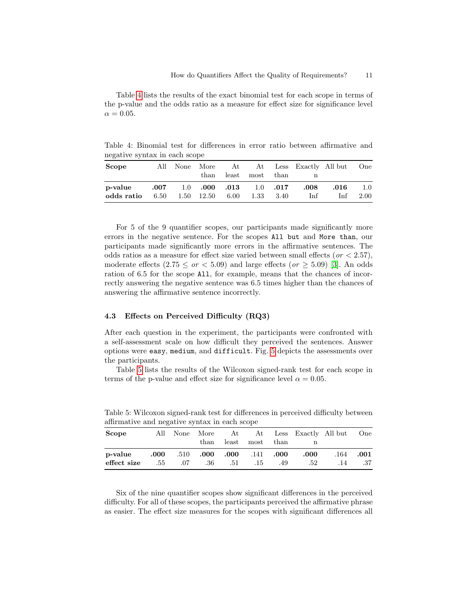Table [4](#page-10-0) lists the results of the exact binomial test for each scope in terms of the p-value and the odds ratio as a measure for effect size for significance level  $\alpha = 0.05$ .

<span id="page-10-0"></span>Table 4: Binomial test for differences in error ratio between affirmative and negative syntax in each scope

| Scope      | All None |                                   |                      |      | More At At Less Exactly All but One |      |
|------------|----------|-----------------------------------|----------------------|------|-------------------------------------|------|
|            |          |                                   | than least most than |      |                                     |      |
| p-value    |          | $.007$ 1.0 $.000$ 0.013 1.0 0.017 |                      | .008 | .016                                | 1.0  |
| odds ratio |          | 6.50 1.50 12.50 6.00              | 1.33 3.40            | Inf  | Inf                                 | 2.00 |

For 5 of the 9 quantifier scopes, our participants made significantly more errors in the negative sentence. For the scopes All but and More than, our participants made significantly more errors in the affirmative sentences. The odds ratios as a measure for effect size varied between small effects ( $or < 2.57$ ), moderate effects  $(2.75 \leq or < 5.09)$  and large effects  $(or \geq 5.09)$  [\[3\]](#page-15-13). An odds ration of 6.5 for the scope All, for example, means that the chances of incorrectly answering the negative sentence was 6.5 times higher than the chances of answering the affirmative sentence incorrectly.

# 4.3 Effects on Perceived Difficulty (RQ3)

After each question in the experiment, the participants were confronted with a self-assessment scale on how difficult they perceived the sentences. Answer options were easy, medium, and difficult. Fig. [5](#page-11-0) depicts the assessments over the participants.

Table [5](#page-10-1) lists the results of the Wilcoxon signed-rank test for each scope in terms of the p-value and effect size for significance level  $\alpha = 0.05$ .

| and the control of the control of the control of the control of the control of the control of the control of t |     |                             |      |     |                       |     |                                          |             |             |
|----------------------------------------------------------------------------------------------------------------|-----|-----------------------------|------|-----|-----------------------|-----|------------------------------------------|-------------|-------------|
| Scope                                                                                                          |     |                             |      |     |                       |     | All None More At At Less Exactly All but |             | One         |
|                                                                                                                |     |                             | than |     | least most than       |     |                                          |             |             |
| p-value<br>effect size                                                                                         | .55 | $.000$ $.510$ $.000$<br>.07 | .36  | .51 | .000 .141 .000<br>.15 | .49 | .000.<br>.52                             | .164<br>.14 | .001<br>.37 |

<span id="page-10-1"></span>Table 5: Wilcoxon signed-rank test for differences in perceived difficulty between affirmative and negative syntax in each scope

Six of the nine quantifier scopes show significant differences in the perceived difficulty. For all of these scopes, the participants perceived the affirmative phrase as easier. The effect size measures for the scopes with significant differences all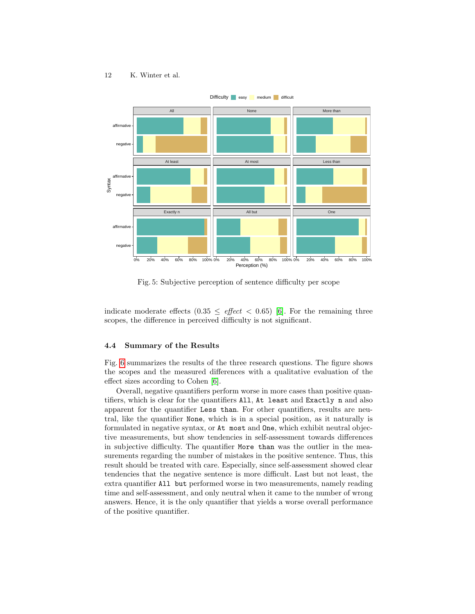<span id="page-11-0"></span>

Fig. 5: Subjective perception of sentence difficulty per scope

indicate moderate effects  $(0.35 \le$  *effect*  $< 0.65)$  [\[6\]](#page-15-12). For the remaining three scopes, the difference in perceived difficulty is not significant.

### 4.4 Summary of the Results

Fig. [6](#page-12-0) summarizes the results of the three research questions. The figure shows the scopes and the measured differences with a qualitative evaluation of the effect sizes according to Cohen [\[6\]](#page-15-12).

Overall, negative quantifiers perform worse in more cases than positive quantifiers, which is clear for the quantifiers All, At least and Exactly n and also apparent for the quantifier Less than. For other quantifiers, results are neutral, like the quantifier None, which is in a special position, as it naturally is formulated in negative syntax, or At most and One, which exhibit neutral objective measurements, but show tendencies in self-assessment towards differences in subjective difficulty. The quantifier More than was the outlier in the measurements regarding the number of mistakes in the positive sentence. Thus, this result should be treated with care. Especially, since self-assessment showed clear tendencies that the negative sentence is more difficult. Last but not least, the extra quantifier All but performed worse in two measurements, namely reading time and self-assessment, and only neutral when it came to the number of wrong answers. Hence, it is the only quantifier that yields a worse overall performance of the positive quantifier.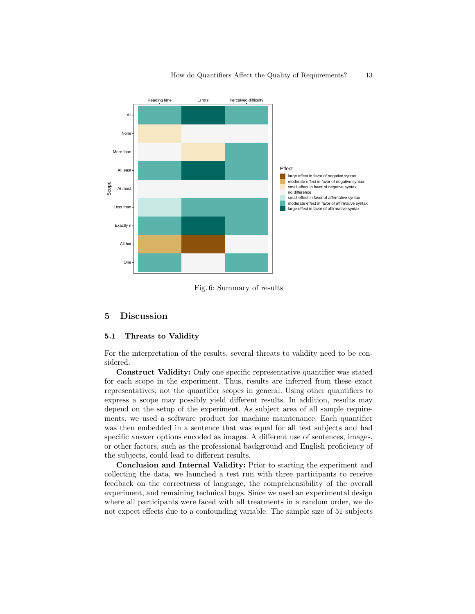<span id="page-12-0"></span>

#### How do Quantifiers Affect the Quality of Requirements? 13

Fig. 6: Summary of results

# 5 Discussion

## 5.1 Threats to Validity

For the interpretation of the results, several threats to validity need to be considered.

Construct Validity: Only one specific representative quantifier was stated for each scope in the experiment. Thus, results are inferred from these exact representatives, not the quantifier scopes in general. Using other quantifiers to express a scope may possibly yield different results. In addition, results may depend on the setup of the experiment. As subject area of all sample requirements, we used a software product for machine maintenance. Each quantifier was then embedded in a sentence that was equal for all test subjects and had specific answer options encoded as images. A different use of sentences, images, or other factors, such as the professional background and English proficiency of the subjects, could lead to different results.

Conclusion and Internal Validity: Prior to starting the experiment and collecting the data, we launched a test run with three participants to receive feedback on the correctness of language, the comprehensibility of the overall experiment, and remaining technical bugs. Since we used an experimental design where all participants were faced with all treatments in a random order, we do not expect effects due to a confounding variable. The sample size of 51 subjects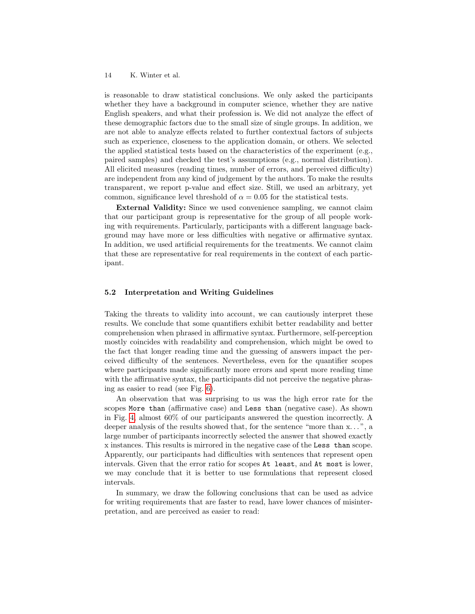is reasonable to draw statistical conclusions. We only asked the participants whether they have a background in computer science, whether they are native English speakers, and what their profession is. We did not analyze the effect of these demographic factors due to the small size of single groups. In addition, we are not able to analyze effects related to further contextual factors of subjects such as experience, closeness to the application domain, or others. We selected the applied statistical tests based on the characteristics of the experiment (e.g., paired samples) and checked the test's assumptions (e.g., normal distribution). All elicited measures (reading times, number of errors, and perceived difficulty) are independent from any kind of judgement by the authors. To make the results transparent, we report p-value and effect size. Still, we used an arbitrary, yet common, significance level threshold of  $\alpha = 0.05$  for the statistical tests.

External Validity: Since we used convenience sampling, we cannot claim that our participant group is representative for the group of all people working with requirements. Particularly, participants with a different language background may have more or less difficulties with negative or affirmative syntax. In addition, we used artificial requirements for the treatments. We cannot claim that these are representative for real requirements in the context of each participant.

#### 5.2 Interpretation and Writing Guidelines

Taking the threats to validity into account, we can cautiously interpret these results. We conclude that some quantifiers exhibit better readability and better comprehension when phrased in affirmative syntax. Furthermore, self-perception mostly coincides with readability and comprehension, which might be owed to the fact that longer reading time and the guessing of answers impact the perceived difficulty of the sentences. Nevertheless, even for the quantifier scopes where participants made significantly more errors and spent more reading time with the affirmative syntax, the participants did not perceive the negative phrasing as easier to read (see Fig. [6\)](#page-12-0).

An observation that was surprising to us was the high error rate for the scopes More than (affirmative case) and Less than (negative case). As shown in Fig. [4,](#page-9-1) almost 60% of our participants answered the question incorrectly. A deeper analysis of the results showed that, for the sentence "more than  $x \dots$ ", a large number of participants incorrectly selected the answer that showed exactly x instances. This results is mirrored in the negative case of the Less than scope. Apparently, our participants had difficulties with sentences that represent open intervals. Given that the error ratio for scopes At least, and At most is lower, we may conclude that it is better to use formulations that represent closed intervals.

In summary, we draw the following conclusions that can be used as advice for writing requirements that are faster to read, have lower chances of misinterpretation, and are perceived as easier to read: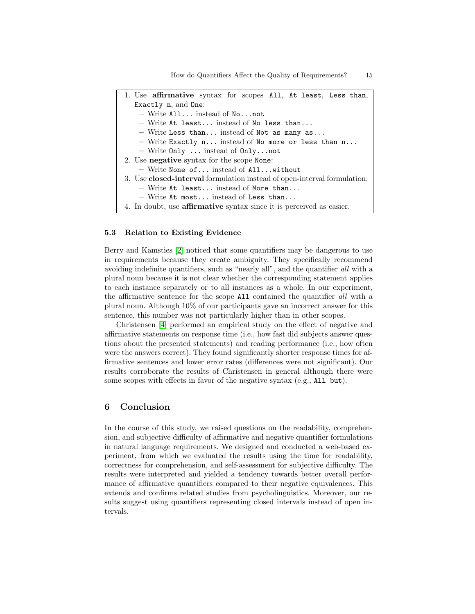```
1. Use affirmative syntax for scopes All, At least, Less than,
  Exactly n, and One:
    – Write All... instead of No...not
    – Write At least... instead of No less than...
    – Write Less than... instead of Not as many as...
    – Write Exactly n... instead of No more or less than n...
    – Write Only ... instead of Only...not
2. Use negative syntax for the scope None:
    – Write None of... instead of All...without
3. Use closed-interval formulation instead of open-interval formulation:
    – Write At least... instead of More than...
    – Write At most... instead of Less than...
4. In doubt, use affirmative syntax since it is perceived as easier.
```
#### 5.3 Relation to Existing Evidence

Berry and Kamsties [\[2\]](#page-15-2) noticed that some quantifiers may be dangerous to use in requirements because they create ambiguity. They specifically recommend avoiding indefinite quantifiers, such as "nearly all", and the quantifier all with a plural noun because it is not clear whether the corresponding statement applies to each instance separately or to all instances as a whole. In our experiment, the affirmative sentence for the scope All contained the quantifier all with a plural noun. Although 10% of our participants gave an incorrect answer for this sentence, this number was not particularly higher than in other scopes.

Christensen [\[4\]](#page-15-5) performed an empirical study on the effect of negative and affirmative statements on response time (i.e., how fast did subjects answer questions about the presented statements) and reading performance (i.e., how often were the answers correct). They found significantly shorter response times for affirmative sentences and lower error rates (differences were not significant). Our results corroborate the results of Christensen in general although there were some scopes with effects in favor of the negative syntax (e.g., All but).

# 6 Conclusion

In the course of this study, we raised questions on the readability, comprehension, and subjective difficulty of affirmative and negative quantifier formulations in natural language requirements. We designed and conducted a web-based experiment, from which we evaluated the results using the time for readability, correctness for comprehension, and self-assessment for subjective difficulty. The results were interpreted and yielded a tendency towards better overall performance of affirmative quantifiers compared to their negative equivalences. This extends and confirms related studies from psycholinguistics. Moreover, our results suggest using quantifiers representing closed intervals instead of open intervals.